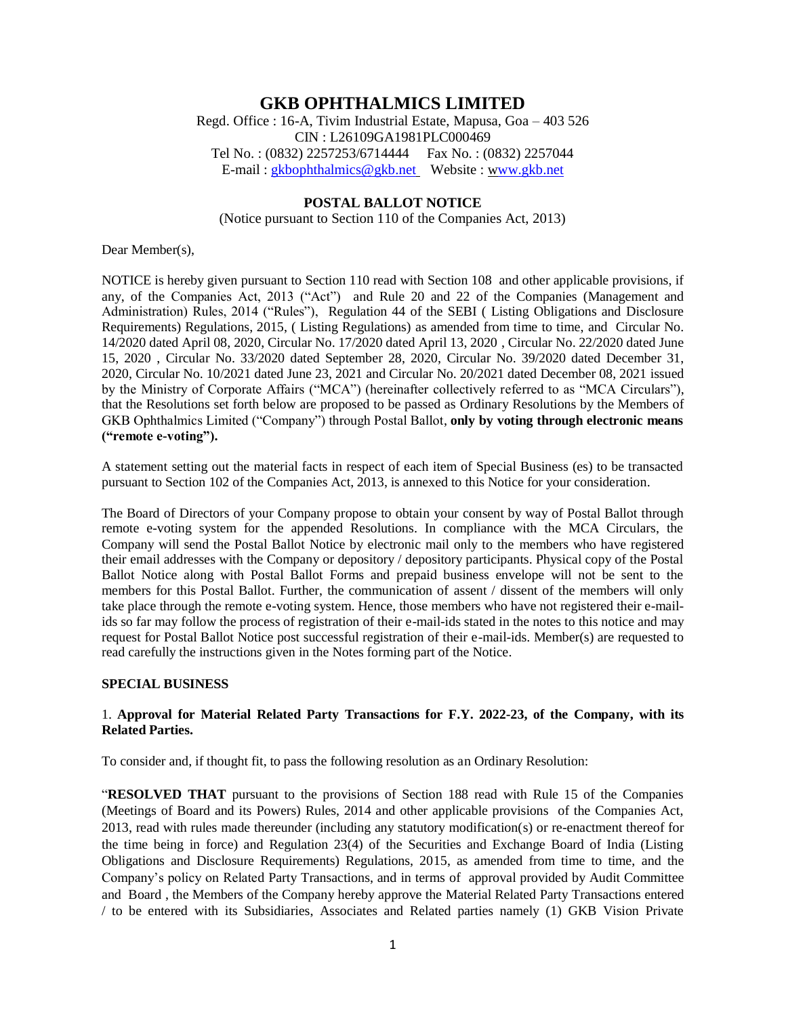# **GKB OPHTHALMICS LIMITED**

Regd. Office : 16-A, Tivim Industrial Estate, Mapusa, Goa – 403 526 CIN : L26109GA1981PLC000469 Tel No. : (0832) 2257253/6714444 Fax No. : (0832) 2257044 E-mail : [gkbophthalmics@gkb.net](mailto:gkbophthalmics@gkb.net) Website : [www.gkb.net](http://www.gkb.net/)

### **POSTAL BALLOT NOTICE**

(Notice pursuant to Section 110 of the Companies Act, 2013)

Dear Member(s),

NOTICE is hereby given pursuant to Section 110 read with Section 108 and other applicable provisions, if any, of the Companies Act, 2013 ("Act") and Rule 20 and 22 of the Companies (Management and Administration) Rules, 2014 ("Rules"), Regulation 44 of the SEBI ( Listing Obligations and Disclosure Requirements) Regulations, 2015, ( Listing Regulations) as amended from time to time, and Circular No. 14/2020 dated April 08, 2020, Circular No. 17/2020 dated April 13, 2020 , Circular No. 22/2020 dated June 15, 2020 , Circular No. 33/2020 dated September 28, 2020, Circular No. 39/2020 dated December 31, 2020, Circular No. 10/2021 dated June 23, 2021 and Circular No. 20/2021 dated December 08, 2021 issued by the Ministry of Corporate Affairs ("MCA") (hereinafter collectively referred to as "MCA Circulars"), that the Resolutions set forth below are proposed to be passed as Ordinary Resolutions by the Members of GKB Ophthalmics Limited ("Company") through Postal Ballot, **only by voting through electronic means ("remote e-voting").**

A statement setting out the material facts in respect of each item of Special Business (es) to be transacted pursuant to Section 102 of the Companies Act, 2013, is annexed to this Notice for your consideration.

The Board of Directors of your Company propose to obtain your consent by way of Postal Ballot through remote e-voting system for the appended Resolutions. In compliance with the MCA Circulars, the Company will send the Postal Ballot Notice by electronic mail only to the members who have registered their email addresses with the Company or depository / depository participants. Physical copy of the Postal Ballot Notice along with Postal Ballot Forms and prepaid business envelope will not be sent to the members for this Postal Ballot. Further, the communication of assent / dissent of the members will only take place through the remote e-voting system. Hence, those members who have not registered their e-mailids so far may follow the process of registration of their e-mail-ids stated in the notes to this notice and may request for Postal Ballot Notice post successful registration of their e-mail-ids. Member(s) are requested to read carefully the instructions given in the Notes forming part of the Notice.

#### **SPECIAL BUSINESS**

### 1. **Approval for Material Related Party Transactions for F.Y. 2022-23, of the Company, with its Related Parties.**

To consider and, if thought fit, to pass the following resolution as an Ordinary Resolution:

"**RESOLVED THAT** pursuant to the provisions of Section 188 read with Rule 15 of the Companies (Meetings of Board and its Powers) Rules, 2014 and other applicable provisions of the Companies Act, 2013, read with rules made thereunder (including any statutory modification(s) or re-enactment thereof for the time being in force) and Regulation 23(4) of the Securities and Exchange Board of India (Listing Obligations and Disclosure Requirements) Regulations, 2015, as amended from time to time, and the Company's policy on Related Party Transactions, and in terms of approval provided by Audit Committee and Board , the Members of the Company hereby approve the Material Related Party Transactions entered / to be entered with its Subsidiaries, Associates and Related parties namely (1) GKB Vision Private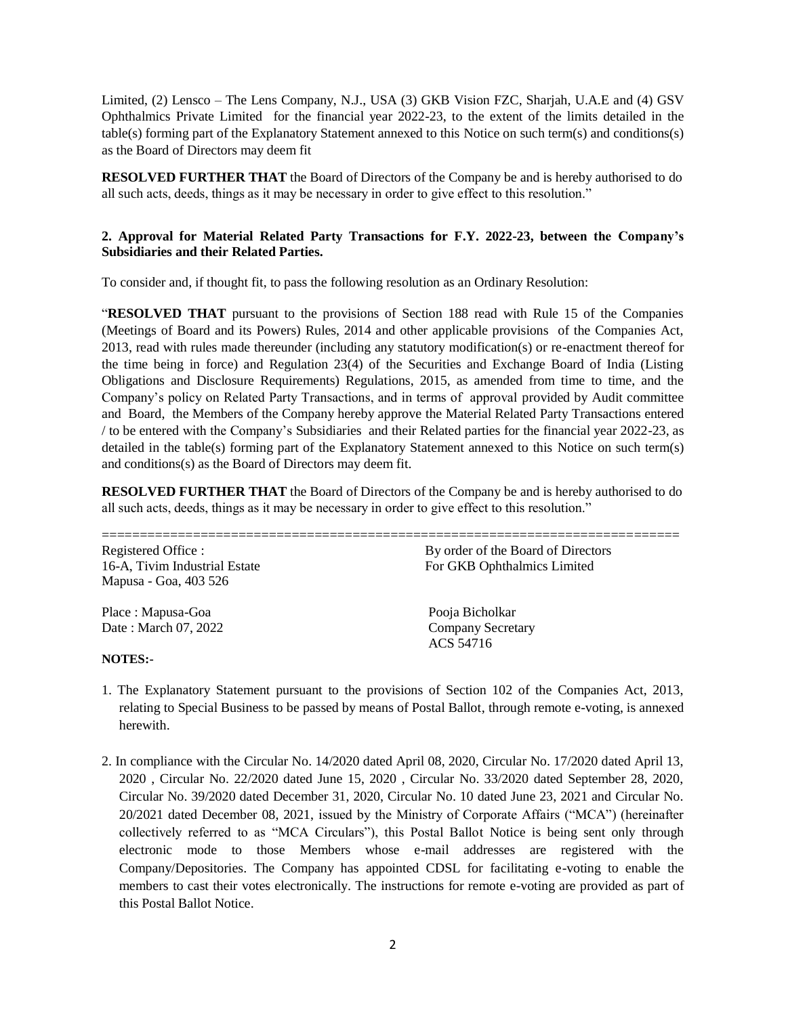Limited, (2) Lensco – The Lens Company, N.J., USA (3) GKB Vision FZC, Sharjah, U.A.E and (4) GSV Ophthalmics Private Limited for the financial year 2022-23, to the extent of the limits detailed in the table(s) forming part of the Explanatory Statement annexed to this Notice on such term(s) and conditions(s) as the Board of Directors may deem fit

**RESOLVED FURTHER THAT** the Board of Directors of the Company be and is hereby authorised to do all such acts, deeds, things as it may be necessary in order to give effect to this resolution."

### **2. Approval for Material Related Party Transactions for F.Y. 2022-23, between the Company's Subsidiaries and their Related Parties.**

To consider and, if thought fit, to pass the following resolution as an Ordinary Resolution:

"**RESOLVED THAT** pursuant to the provisions of Section 188 read with Rule 15 of the Companies (Meetings of Board and its Powers) Rules, 2014 and other applicable provisions of the Companies Act, 2013, read with rules made thereunder (including any statutory modification(s) or re-enactment thereof for the time being in force) and Regulation 23(4) of the Securities and Exchange Board of India (Listing Obligations and Disclosure Requirements) Regulations, 2015, as amended from time to time, and the Company's policy on Related Party Transactions, and in terms of approval provided by Audit committee and Board, the Members of the Company hereby approve the Material Related Party Transactions entered / to be entered with the Company's Subsidiaries and their Related parties for the financial year 2022-23, as detailed in the table(s) forming part of the Explanatory Statement annexed to this Notice on such term(s) and conditions(s) as the Board of Directors may deem fit.

**RESOLVED FURTHER THAT** the Board of Directors of the Company be and is hereby authorised to do all such acts, deeds, things as it may be necessary in order to give effect to this resolution."

| Registered Office :           | By order of the Board of Directors |
|-------------------------------|------------------------------------|
| 16-A, Tivim Industrial Estate | For GKB Ophthalmics Limited        |
| Mapusa - Goa, 403 526         |                                    |
| Place: Mapusa-Goa             | Pooja Bicholkar                    |
| Date: March 07, 2022          | <b>Company Secretary</b>           |
|                               | ACS 54716                          |
| <b>NOTES:-</b>                |                                    |

- 1. The Explanatory Statement pursuant to the provisions of Section 102 of the Companies Act, 2013, relating to Special Business to be passed by means of Postal Ballot, through remote e-voting, is annexed herewith.
- 2. In compliance with the Circular No. 14/2020 dated April 08, 2020, Circular No. 17/2020 dated April 13, 2020 , Circular No. 22/2020 dated June 15, 2020 , Circular No. 33/2020 dated September 28, 2020, Circular No. 39/2020 dated December 31, 2020, Circular No. 10 dated June 23, 2021 and Circular No. 20/2021 dated December 08, 2021, issued by the Ministry of Corporate Affairs ("MCA") (hereinafter collectively referred to as "MCA Circulars"), this Postal Ballot Notice is being sent only through electronic mode to those Members whose e-mail addresses are registered with the Company/Depositories. The Company has appointed CDSL for facilitating e-voting to enable the members to cast their votes electronically. The instructions for remote e-voting are provided as part of this Postal Ballot Notice.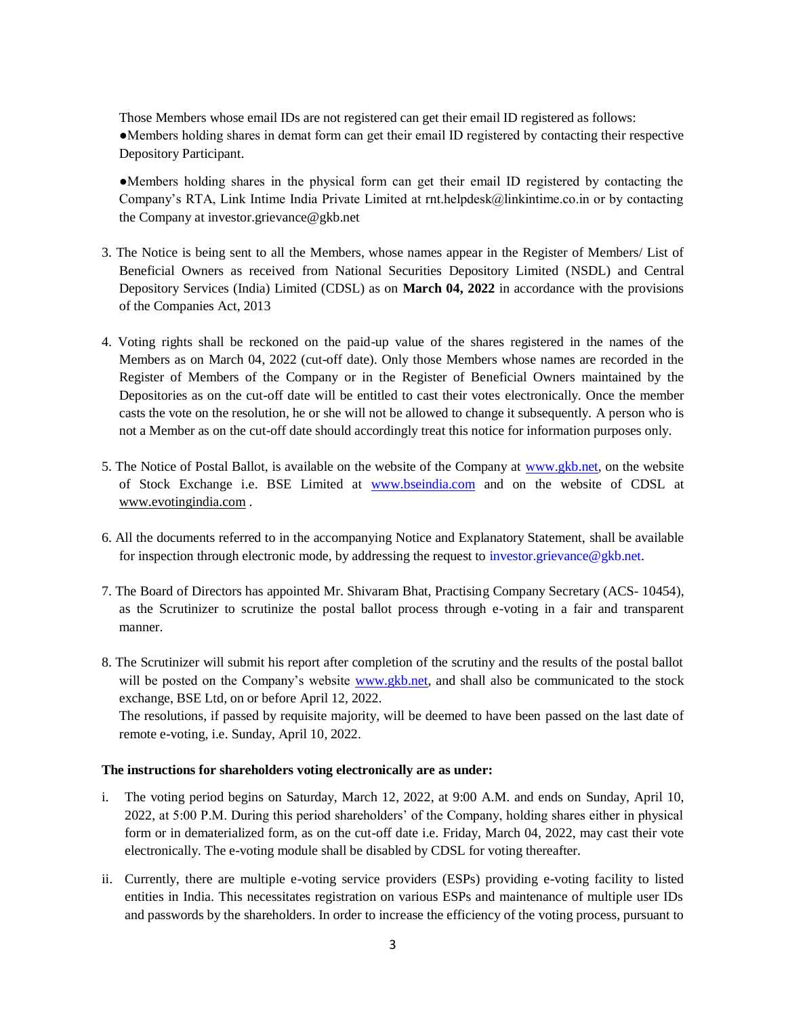Those Members whose email IDs are not registered can get their email ID registered as follows: ●Members holding shares in demat form can get their email ID registered by contacting their respective Depository Participant.

●Members holding shares in the physical form can get their email ID registered by contacting the Company's RTA, Link Intime India Private Limited at rnt.helpdesk@linkintime.co.in or by contacting the Company at investor.grievance[@gkb.net](http://gkb.net/)

- 3. The Notice is being sent to all the Members, whose names appear in the Register of Members/ List of Beneficial Owners as received from National Securities Depository Limited (NSDL) and Central Depository Services (India) Limited (CDSL) as on **March 04, 2022** in accordance with the provisions of the Companies Act, 2013
- 4. Voting rights shall be reckoned on the paid-up value of the shares registered in the names of the Members as on March 04, 2022 (cut-off date). Only those Members whose names are recorded in the Register of Members of the Company or in the Register of Beneficial Owners maintained by the Depositories as on the cut-off date will be entitled to cast their votes electronically. Once the member casts the vote on the resolution, he or she will not be allowed to change it subsequently. A person who is not a Member as on the cut-off date should accordingly treat this notice for information purposes only.
- 5. The Notice of Postal Ballot, is available on the website of the Company at [www.gkb.net,](http://www.gkb.net/) on the website of Stock Exchange i.e. BSE Limited at [www.bseindia.com](http://www.bseindia.com/) and on the website of CDSL at www.evotingindia.com .
- 6. All the documents referred to in the accompanying Notice and Explanatory Statement, shall be available for inspection through electronic mode, by addressing the request to investor.grievance $@$ gkb.net.
- 7. The Board of Directors has appointed Mr. Shivaram Bhat, Practising Company Secretary (ACS- 10454), as the Scrutinizer to scrutinize the postal ballot process through e-voting in a fair and transparent manner.
- 8. The Scrutinizer will submit his report after completion of the scrutiny and the results of the postal ballot will be posted on the Company's website [www.gkb.net,](http://www.gkb.net/) and shall also be communicated to the stock exchange, BSE Ltd, on or before April 12, 2022.

The resolutions, if passed by requisite majority, will be deemed to have been passed on the last date of remote e-voting, i.e. Sunday, April 10, 2022.

### **The instructions for shareholders voting electronically are as under:**

- i. The voting period begins on Saturday, March 12, 2022, at 9:00 A.M. and ends on Sunday, April 10, 2022, at 5:00 P.M. During this period shareholders' of the Company, holding shares either in physical form or in dematerialized form, as on the cut-off date i.e. Friday, March 04, 2022, may cast their vote electronically. The e-voting module shall be disabled by CDSL for voting thereafter.
- ii. Currently, there are multiple e-voting service providers (ESPs) providing e-voting facility to listed entities in India. This necessitates registration on various ESPs and maintenance of multiple user IDs and passwords by the shareholders. In order to increase the efficiency of the voting process, pursuant to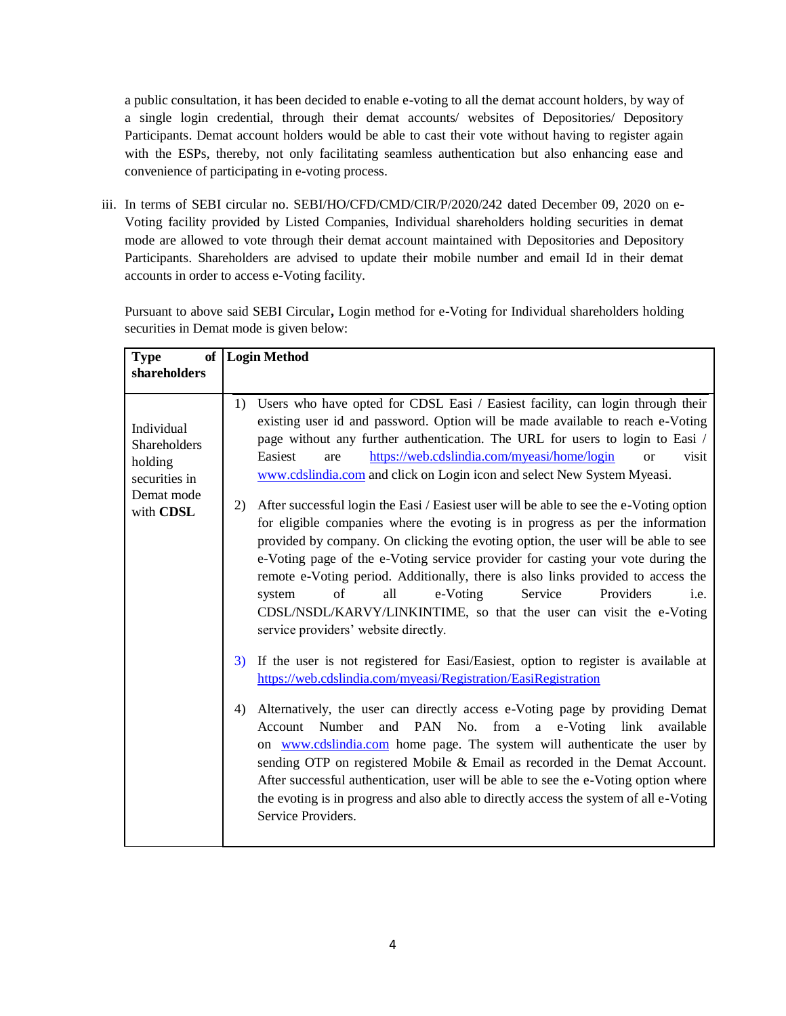a public consultation, it has been decided to enable e-voting to all the demat account holders, by way of a single login credential, through their demat accounts/ websites of Depositories/ Depository Participants. Demat account holders would be able to cast their vote without having to register again with the ESPs, thereby, not only facilitating seamless authentication but also enhancing ease and convenience of participating in e-voting process.

iii. In terms of SEBI circular no. SEBI/HO/CFD/CMD/CIR/P/2020/242 dated December 09, 2020 on e-Voting facility provided by Listed Companies, Individual shareholders holding securities in demat mode are allowed to vote through their demat account maintained with Depositories and Depository Participants. Shareholders are advised to update their mobile number and email Id in their demat accounts in order to access e-Voting facility.

Pursuant to above said SEBI Circular**,** Login method for e-Voting for Individual shareholders holding securities in Demat mode is given below:

| <b>Type</b>                                                                       | of   Login Method                                                                                                                                                                                                                                                                                                                                                                                                                                                                                                                                                                                                                                                                                                                                                                                                                                                                                                                                                                                                                                                                                                                                                                                                                                                                                                                                                                                                                                                                                                                                                                                                                                                                                                                                       |
|-----------------------------------------------------------------------------------|---------------------------------------------------------------------------------------------------------------------------------------------------------------------------------------------------------------------------------------------------------------------------------------------------------------------------------------------------------------------------------------------------------------------------------------------------------------------------------------------------------------------------------------------------------------------------------------------------------------------------------------------------------------------------------------------------------------------------------------------------------------------------------------------------------------------------------------------------------------------------------------------------------------------------------------------------------------------------------------------------------------------------------------------------------------------------------------------------------------------------------------------------------------------------------------------------------------------------------------------------------------------------------------------------------------------------------------------------------------------------------------------------------------------------------------------------------------------------------------------------------------------------------------------------------------------------------------------------------------------------------------------------------------------------------------------------------------------------------------------------------|
| shareholders                                                                      |                                                                                                                                                                                                                                                                                                                                                                                                                                                                                                                                                                                                                                                                                                                                                                                                                                                                                                                                                                                                                                                                                                                                                                                                                                                                                                                                                                                                                                                                                                                                                                                                                                                                                                                                                         |
| Individual<br>Shareholders<br>holding<br>securities in<br>Demat mode<br>with CDSL | Users who have opted for CDSL Easi / Easiest facility, can login through their<br>1)<br>existing user id and password. Option will be made available to reach e-Voting<br>page without any further authentication. The URL for users to login to Easi /<br>https://web.cdslindia.com/myeasi/home/login<br>Easiest<br>visit<br>are<br><b>or</b><br>www.cdslindia.com and click on Login icon and select New System Myeasi.<br>After successful login the Easi / Easiest user will be able to see the e-Voting option<br>2)<br>for eligible companies where the evoting is in progress as per the information<br>provided by company. On clicking the evoting option, the user will be able to see<br>e-Voting page of the e-Voting service provider for casting your vote during the<br>remote e-Voting period. Additionally, there is also links provided to access the<br>of<br>all<br>Service<br>Providers<br>e-Voting<br>i.e.<br>system<br>CDSL/NSDL/KARVY/LINKINTIME, so that the user can visit the e-Voting<br>service providers' website directly.<br>If the user is not registered for Easi/Easiest, option to register is available at<br>3)<br>https://web.cdslindia.com/myeasi/Registration/EasiRegistration<br>Alternatively, the user can directly access e-Voting page by providing Demat<br>4)<br>PAN No. from a e-Voting link<br>Number<br>Account<br>and<br>available<br>on www.cdslindia.com home page. The system will authenticate the user by<br>sending OTP on registered Mobile & Email as recorded in the Demat Account.<br>After successful authentication, user will be able to see the e-Voting option where<br>the evoting is in progress and also able to directly access the system of all e-Voting<br>Service Providers. |
|                                                                                   |                                                                                                                                                                                                                                                                                                                                                                                                                                                                                                                                                                                                                                                                                                                                                                                                                                                                                                                                                                                                                                                                                                                                                                                                                                                                                                                                                                                                                                                                                                                                                                                                                                                                                                                                                         |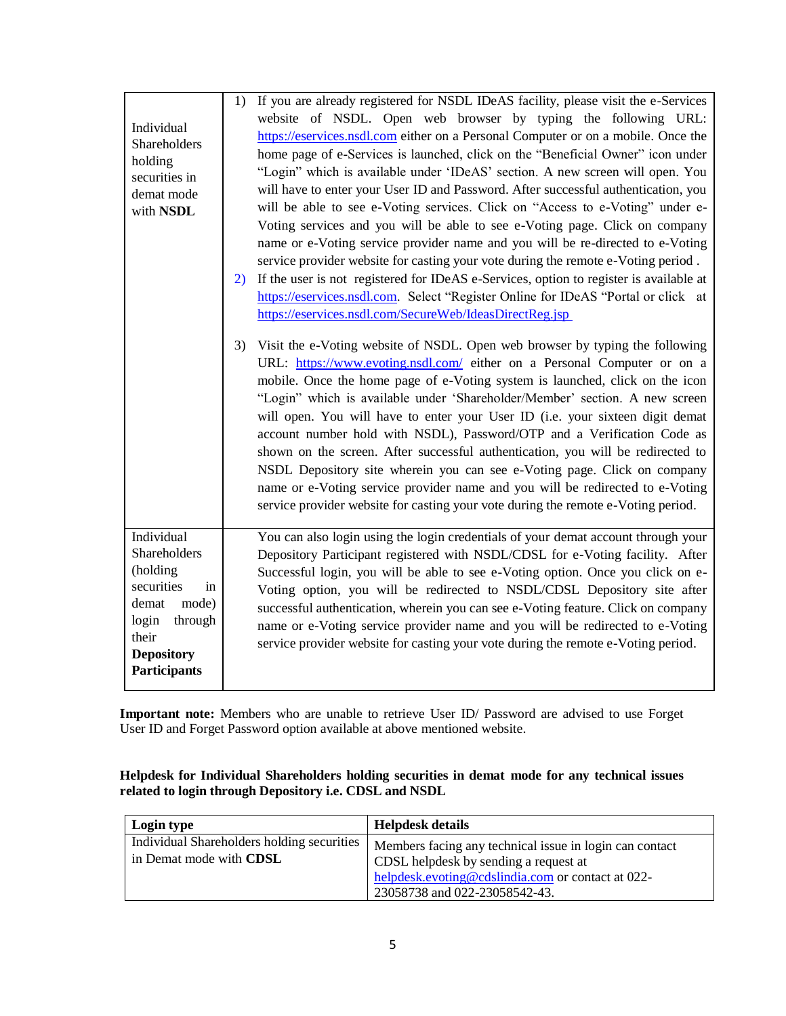| Individual<br>Shareholders<br>holding<br>securities in<br>demat mode<br>with NSDL                                                                     | If you are already registered for NSDL IDeAS facility, please visit the e-Services<br>1)<br>website of NSDL. Open web browser by typing the following URL:<br>https://eservices.nsdl.com either on a Personal Computer or on a mobile. Once the<br>home page of e-Services is launched, click on the "Beneficial Owner" icon under<br>"Login" which is available under 'IDeAS' section. A new screen will open. You<br>will have to enter your User ID and Password. After successful authentication, you<br>will be able to see e-Voting services. Click on "Access to e-Voting" under e-<br>Voting services and you will be able to see e-Voting page. Click on company<br>name or e-Voting service provider name and you will be re-directed to e-Voting<br>service provider website for casting your vote during the remote e-Voting period.<br>If the user is not registered for IDeAS e-Services, option to register is available at<br>2)<br>https://eservices.nsdl.com. Select "Register Online for IDeAS "Portal or click at<br>https://eservices.nsdl.com/SecureWeb/IdeasDirectReg.jsp<br>Visit the e-Voting website of NSDL. Open web browser by typing the following<br>3)<br>URL: https://www.evoting.nsdl.com/ either on a Personal Computer or on a<br>mobile. Once the home page of e-Voting system is launched, click on the icon<br>"Login" which is available under 'Shareholder/Member' section. A new screen<br>will open. You will have to enter your User ID (i.e. your sixteen digit demat<br>account number hold with NSDL), Password/OTP and a Verification Code as<br>shown on the screen. After successful authentication, you will be redirected to<br>NSDL Depository site wherein you can see e-Voting page. Click on company<br>name or e-Voting service provider name and you will be redirected to e-Voting<br>service provider website for casting your vote during the remote e-Voting period. |
|-------------------------------------------------------------------------------------------------------------------------------------------------------|------------------------------------------------------------------------------------------------------------------------------------------------------------------------------------------------------------------------------------------------------------------------------------------------------------------------------------------------------------------------------------------------------------------------------------------------------------------------------------------------------------------------------------------------------------------------------------------------------------------------------------------------------------------------------------------------------------------------------------------------------------------------------------------------------------------------------------------------------------------------------------------------------------------------------------------------------------------------------------------------------------------------------------------------------------------------------------------------------------------------------------------------------------------------------------------------------------------------------------------------------------------------------------------------------------------------------------------------------------------------------------------------------------------------------------------------------------------------------------------------------------------------------------------------------------------------------------------------------------------------------------------------------------------------------------------------------------------------------------------------------------------------------------------------------------------------------------------------------------------------------------------------------------------------------------|
| Individual<br>Shareholders<br>(holding<br>securities<br>in<br>mode)<br>demat<br>login<br>through<br>their<br><b>Depository</b><br><b>Participants</b> | You can also login using the login credentials of your demat account through your<br>Depository Participant registered with NSDL/CDSL for e-Voting facility. After<br>Successful login, you will be able to see e-Voting option. Once you click on e-<br>Voting option, you will be redirected to NSDL/CDSL Depository site after<br>successful authentication, wherein you can see e-Voting feature. Click on company<br>name or e-Voting service provider name and you will be redirected to e-Voting<br>service provider website for casting your vote during the remote e-Voting period.                                                                                                                                                                                                                                                                                                                                                                                                                                                                                                                                                                                                                                                                                                                                                                                                                                                                                                                                                                                                                                                                                                                                                                                                                                                                                                                                       |

**Important note:** Members who are unable to retrieve User ID/ Password are advised to use Forget User ID and Forget Password option available at above mentioned website.

**Helpdesk for Individual Shareholders holding securities in demat mode for any technical issues related to login through Depository i.e. CDSL and NSDL**

| Login type                                                                   | Helpdesk details                                                                                                                                                                       |
|------------------------------------------------------------------------------|----------------------------------------------------------------------------------------------------------------------------------------------------------------------------------------|
| Individual Shareholders holding securities<br>in Demat mode with <b>CDSL</b> | Members facing any technical issue in login can contact<br>CDSL helpdesk by sending a request at<br>helpdesk.evoting@cdslindia.com or contact at 022-<br>23058738 and 022-23058542-43. |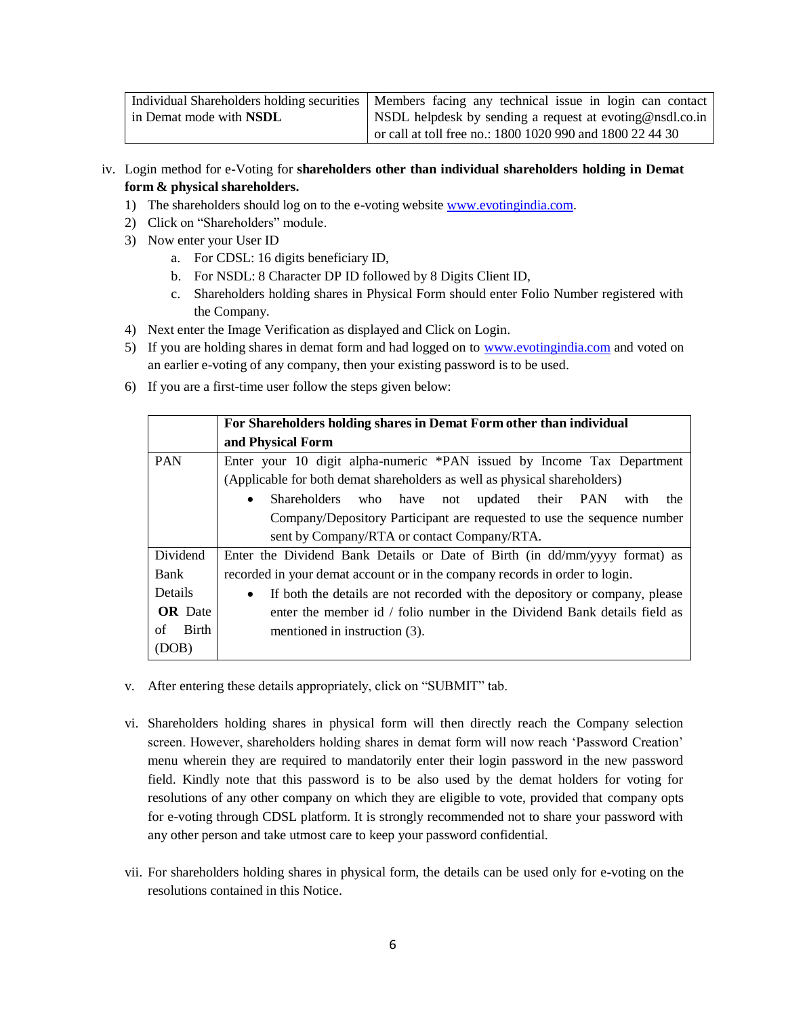|                                | Individual Shareholders holding securities   Members facing any technical issue in login can contact |  |
|--------------------------------|------------------------------------------------------------------------------------------------------|--|
| in Demat mode with <b>NSDL</b> | NSDL helpdesk by sending a request at evoting@nsdl.co.in                                             |  |
|                                | or call at toll free no.: $1800 1020 990$ and $1800 22 44 30$                                        |  |

iv. Login method for e-Voting for **shareholders other than individual shareholders holding in Demat form & physical shareholders.**

- 1) The shareholders should log on to the e-voting website [www.evotingindia.com.](http://www.evotingindia.com/)
- 2) Click on "Shareholders" module.
- 3) Now enter your User ID
	- a. For CDSL: 16 digits beneficiary ID,
	- b. For NSDL: 8 Character DP ID followed by 8 Digits Client ID,
	- c. Shareholders holding shares in Physical Form should enter Folio Number registered with the Company.
- 4) Next enter the Image Verification as displayed and Click on Login.
- 5) If you are holding shares in demat form and had logged on to [www.evotingindia.com](http://www.evotingindia.com/) and voted on an earlier e-voting of any company, then your existing password is to be used.
- 6) If you are a first-time user follow the steps given below:

|                    | For Shareholders holding shares in Demat Form other than individual                      |  |  |
|--------------------|------------------------------------------------------------------------------------------|--|--|
|                    | and Physical Form                                                                        |  |  |
| <b>PAN</b>         | Enter your 10 digit alpha-numeric *PAN issued by Income Tax Department                   |  |  |
|                    | (Applicable for both demat shareholders as well as physical shareholders)                |  |  |
|                    | <b>Shareholders</b><br>who have not updated their PAN<br>the<br>with<br>$\bullet$        |  |  |
|                    | Company/Depository Participant are requested to use the sequence number                  |  |  |
|                    | sent by Company/RTA or contact Company/RTA.                                              |  |  |
| Dividend           | Enter the Dividend Bank Details or Date of Birth (in dd/mm/yyyy format) as               |  |  |
| Bank               | recorded in your demat account or in the company records in order to login.              |  |  |
| Details            | If both the details are not recorded with the depository or company, please<br>$\bullet$ |  |  |
| <b>OR</b> Date     | enter the member id / folio number in the Dividend Bank details field as                 |  |  |
| <b>Birth</b><br>of | mentioned in instruction (3).                                                            |  |  |
| (DOB)              |                                                                                          |  |  |

- v. After entering these details appropriately, click on "SUBMIT" tab.
- vi. Shareholders holding shares in physical form will then directly reach the Company selection screen. However, shareholders holding shares in demat form will now reach 'Password Creation' menu wherein they are required to mandatorily enter their login password in the new password field. Kindly note that this password is to be also used by the demat holders for voting for resolutions of any other company on which they are eligible to vote, provided that company opts for e-voting through CDSL platform. It is strongly recommended not to share your password with any other person and take utmost care to keep your password confidential.
- vii. For shareholders holding shares in physical form, the details can be used only for e-voting on the resolutions contained in this Notice.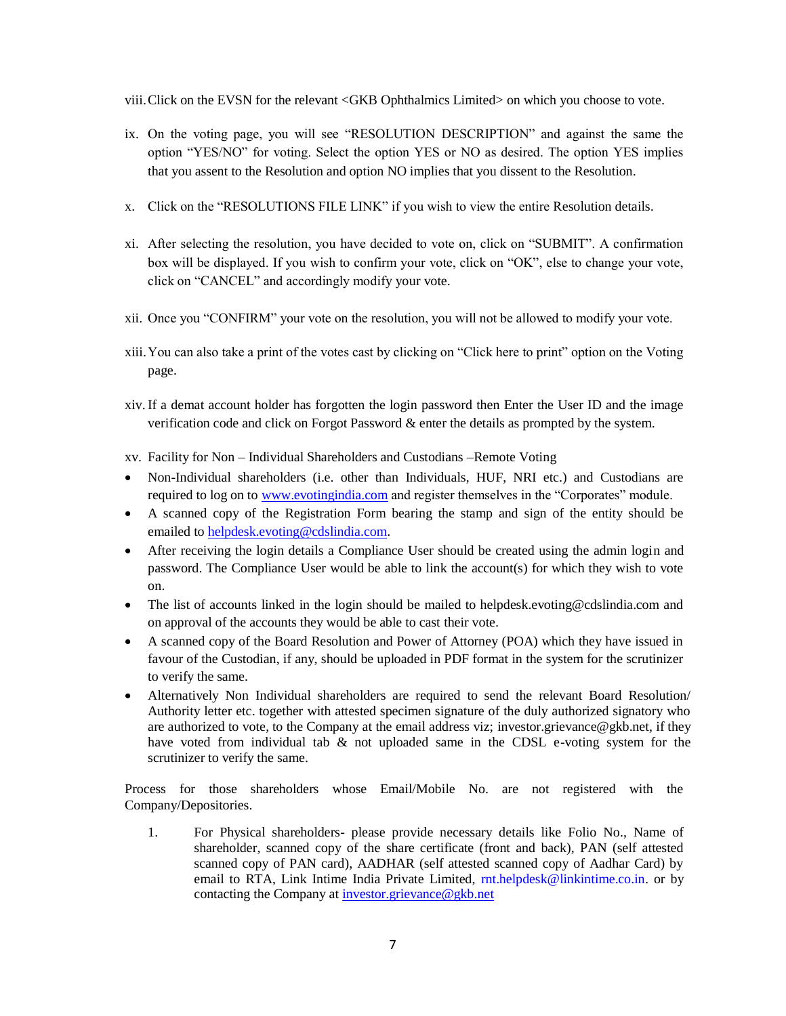viii.Click on the EVSN for the relevant <GKB Ophthalmics Limited> on which you choose to vote.

- ix. On the voting page, you will see "RESOLUTION DESCRIPTION" and against the same the option "YES/NO" for voting. Select the option YES or NO as desired. The option YES implies that you assent to the Resolution and option NO implies that you dissent to the Resolution.
- x. Click on the "RESOLUTIONS FILE LINK" if you wish to view the entire Resolution details.
- xi. After selecting the resolution, you have decided to vote on, click on "SUBMIT". A confirmation box will be displayed. If you wish to confirm your vote, click on "OK", else to change your vote, click on "CANCEL" and accordingly modify your vote.
- xii. Once you "CONFIRM" your vote on the resolution, you will not be allowed to modify your vote.
- xiii.You can also take a print of the votes cast by clicking on "Click here to print" option on the Voting page.
- xiv.If a demat account holder has forgotten the login password then Enter the User ID and the image verification code and click on Forgot Password & enter the details as prompted by the system.
- xv. Facility for Non Individual Shareholders and Custodians –Remote Voting
- Non-Individual shareholders (i.e. other than Individuals, HUF, NRI etc.) and Custodians are required to log on to [www.evotingindia.com](http://www.evotingindia.com/) and register themselves in the "Corporates" module.
- A scanned copy of the Registration Form bearing the stamp and sign of the entity should be emailed to [helpdesk.evoting@cdslindia.com.](mailto:helpdesk.evoting@cdslindia.com)
- After receiving the login details a Compliance User should be created using the admin login and password. The Compliance User would be able to link the account(s) for which they wish to vote on.
- The list of accounts linked in the login should be mailed to helpdesk.evoting@cdslindia.com and on approval of the accounts they would be able to cast their vote.
- A scanned copy of the Board Resolution and Power of Attorney (POA) which they have issued in favour of the Custodian, if any, should be uploaded in PDF format in the system for the scrutinizer to verify the same.
- Alternatively Non Individual shareholders are required to send the relevant Board Resolution/ Authority letter etc. together with attested specimen signature of the duly authorized signatory who are authorized to vote, to the Company at the email address viz; investor.grievance@gkb.net, if they have voted from individual tab & not uploaded same in the CDSL e-voting system for the scrutinizer to verify the same.

Process for those shareholders whose Email/Mobile No. are not registered with the Company/Depositories.

1. For Physical shareholders- please provide necessary details like Folio No., Name of shareholder, scanned copy of the share certificate (front and back), PAN (self attested scanned copy of PAN card), AADHAR (self attested scanned copy of Aadhar Card) by email to RTA, Link Intime India Private Limited,  $m$ t.helpdesk@linkintime.co.in. or by contacting the Company a[t investor.grievance@gkb.net](mailto:investor.grievance@gkb.net)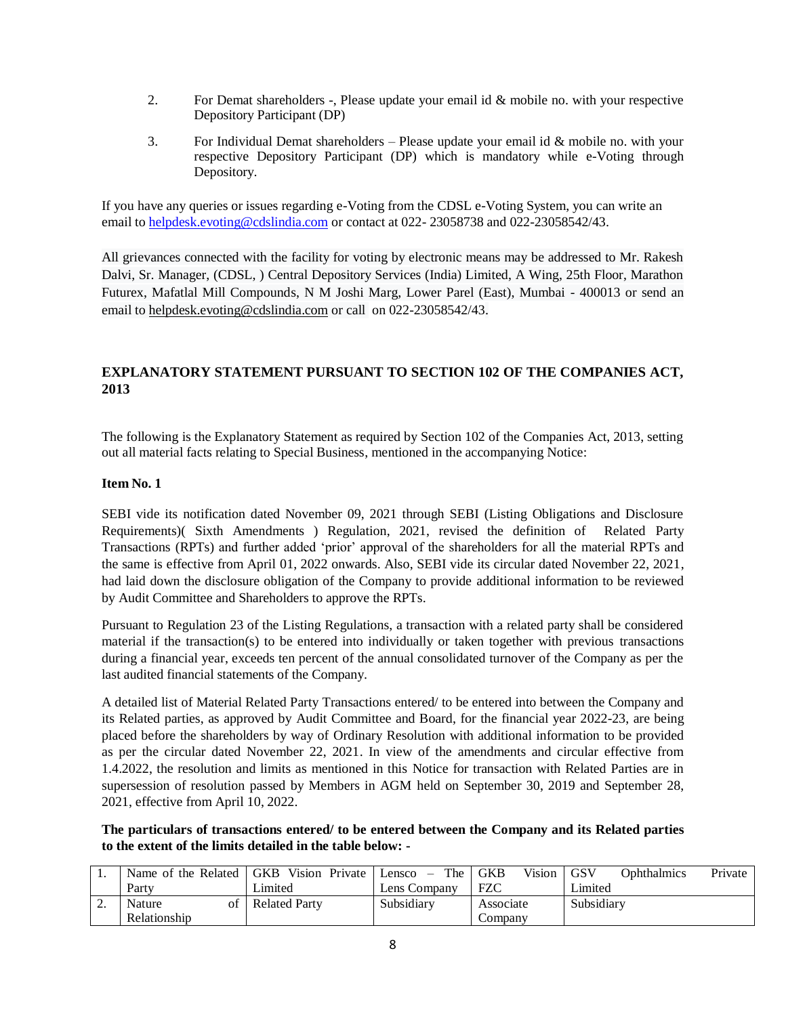- 2. For Demat shareholders -, Please update your email id & mobile no. with your respective Depository Participant (DP)
- 3. For Individual Demat shareholders Please update your email id & mobile no. with your respective Depository Participant (DP) which is mandatory while e-Voting through Depository.

If you have any queries or issues regarding e-Voting from the CDSL e-Voting System, you can write an email to [helpdesk.evoting@cdslindia.com](mailto:helpdesk.evoting@cdslindia.com) or contact at 022- 23058738 and 022-23058542/43.

All grievances connected with the facility for voting by electronic means may be addressed to Mr. Rakesh Dalvi, Sr. Manager, (CDSL, ) Central Depository Services (India) Limited, A Wing, 25th Floor, Marathon Futurex, Mafatlal Mill Compounds, N M Joshi Marg, Lower Parel (East), Mumbai - 400013 or send an email to [helpdesk.evoting@cdslindia.com](mailto:helpdesk.evoting@cdslindia.com) or call on 022-23058542/43.

## **EXPLANATORY STATEMENT PURSUANT TO SECTION 102 OF THE COMPANIES ACT, 2013**

The following is the Explanatory Statement as required by Section 102 of the Companies Act, 2013, setting out all material facts relating to Special Business, mentioned in the accompanying Notice:

### **Item No. 1**

SEBI vide its notification dated November 09, 2021 through SEBI (Listing Obligations and Disclosure Requirements)( Sixth Amendments ) Regulation, 2021, revised the definition of Related Party Transactions (RPTs) and further added 'prior' approval of the shareholders for all the material RPTs and the same is effective from April 01, 2022 onwards. Also, SEBI vide its circular dated November 22, 2021, had laid down the disclosure obligation of the Company to provide additional information to be reviewed by Audit Committee and Shareholders to approve the RPTs.

Pursuant to Regulation 23 of the Listing Regulations, a transaction with a related party shall be considered material if the transaction(s) to be entered into individually or taken together with previous transactions during a financial year, exceeds ten percent of the annual consolidated turnover of the Company as per the last audited financial statements of the Company.

A detailed list of Material Related Party Transactions entered/ to be entered into between the Company and its Related parties, as approved by Audit Committee and Board, for the financial year 2022-23, are being placed before the shareholders by way of Ordinary Resolution with additional information to be provided as per the circular dated November 22, 2021. In view of the amendments and circular effective from 1.4.2022, the resolution and limits as mentioned in this Notice for transaction with Related Parties are in supersession of resolution passed by Members in AGM held on September 30, 2019 and September 28, 2021, effective from April 10, 2022.

**The particulars of transactions entered/ to be entered between the Company and its Related parties to the extent of the limits detailed in the table below: -**

|     | Name of the Related   GKB | Vision Private Lensco $-$ |              | Vision<br>The GKB | GSV<br>Ophthalmics<br>Private |
|-----|---------------------------|---------------------------|--------------|-------------------|-------------------------------|
|     | Party                     | Limited                   | Lens Company | FZC               | Limited                       |
| , . | of<br>Nature              | <b>Related Party</b>      | Subsidiary   | Associate         | Subsidiary                    |
|     | Relationship              |                           |              | Company           |                               |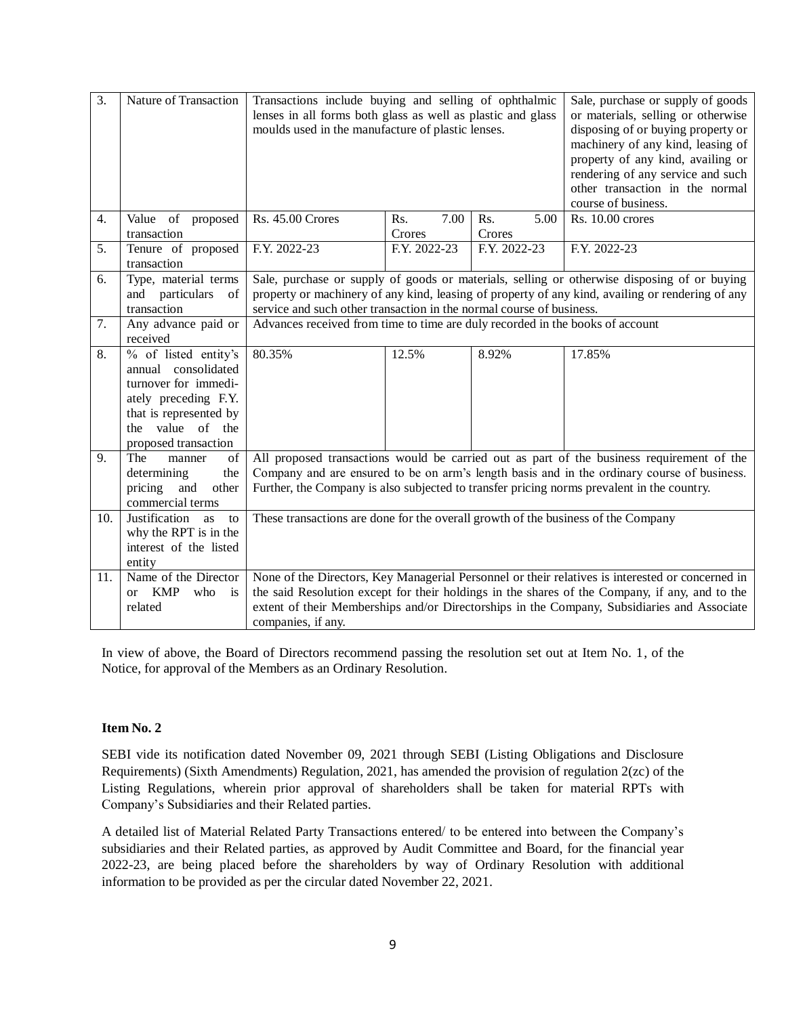| 3.  | Nature of Transaction             | Transactions include buying and selling of ophthalmic<br>lenses in all forms both glass as well as plastic and glass<br>moulds used in the manufacture of plastic lenses. |              |              | Sale, purchase or supply of goods<br>or materials, selling or otherwise<br>disposing of or buying property or<br>machinery of any kind, leasing of<br>property of any kind, availing or<br>rendering of any service and such<br>other transaction in the normal<br>course of business. |
|-----|-----------------------------------|---------------------------------------------------------------------------------------------------------------------------------------------------------------------------|--------------|--------------|----------------------------------------------------------------------------------------------------------------------------------------------------------------------------------------------------------------------------------------------------------------------------------------|
| 4.  | Value of proposed                 | <b>Rs. 45.00 Crores</b>                                                                                                                                                   | Rs.<br>7.00  | Rs.<br>5.00  | Rs. 10.00 crores                                                                                                                                                                                                                                                                       |
|     | transaction                       |                                                                                                                                                                           | Crores       | Crores       |                                                                                                                                                                                                                                                                                        |
| 5.  | Tenure of proposed<br>transaction | F.Y. 2022-23                                                                                                                                                              | F.Y. 2022-23 | F.Y. 2022-23 | F.Y. 2022-23                                                                                                                                                                                                                                                                           |
| 6.  | Type, material terms              |                                                                                                                                                                           |              |              | Sale, purchase or supply of goods or materials, selling or otherwise disposing of or buying                                                                                                                                                                                            |
|     | and<br>particulars<br>of          |                                                                                                                                                                           |              |              | property or machinery of any kind, leasing of property of any kind, availing or rendering of any                                                                                                                                                                                       |
|     | transaction                       | service and such other transaction in the normal course of business.                                                                                                      |              |              |                                                                                                                                                                                                                                                                                        |
| 7.  | Any advance paid or               | Advances received from time to time are duly recorded in the books of account                                                                                             |              |              |                                                                                                                                                                                                                                                                                        |
|     | received                          |                                                                                                                                                                           |              |              |                                                                                                                                                                                                                                                                                        |
| 8.  | $\frac{6}{6}$ of listed entity's  | 80.35%                                                                                                                                                                    | 12.5%        | 8.92%        | 17.85%                                                                                                                                                                                                                                                                                 |
|     | annual consolidated               |                                                                                                                                                                           |              |              |                                                                                                                                                                                                                                                                                        |
|     | turnover for immedi-              |                                                                                                                                                                           |              |              |                                                                                                                                                                                                                                                                                        |
|     | ately preceding F.Y.              |                                                                                                                                                                           |              |              |                                                                                                                                                                                                                                                                                        |
|     | that is represented by            |                                                                                                                                                                           |              |              |                                                                                                                                                                                                                                                                                        |
|     | the value of the                  |                                                                                                                                                                           |              |              |                                                                                                                                                                                                                                                                                        |
|     | proposed transaction              |                                                                                                                                                                           |              |              |                                                                                                                                                                                                                                                                                        |
| 9.  | The<br>of<br>manner               |                                                                                                                                                                           |              |              | All proposed transactions would be carried out as part of the business requirement of the                                                                                                                                                                                              |
|     | determining<br>the                |                                                                                                                                                                           |              |              | Company and are ensured to be on arm's length basis and in the ordinary course of business.                                                                                                                                                                                            |
|     | pricing<br>and<br>other           |                                                                                                                                                                           |              |              | Further, the Company is also subjected to transfer pricing norms prevalent in the country.                                                                                                                                                                                             |
|     | commercial terms                  |                                                                                                                                                                           |              |              |                                                                                                                                                                                                                                                                                        |
| 10. | Justification<br><b>as</b><br>to  | These transactions are done for the overall growth of the business of the Company                                                                                         |              |              |                                                                                                                                                                                                                                                                                        |
|     | why the RPT is in the             |                                                                                                                                                                           |              |              |                                                                                                                                                                                                                                                                                        |
|     | interest of the listed            |                                                                                                                                                                           |              |              |                                                                                                                                                                                                                                                                                        |
|     | entity                            |                                                                                                                                                                           |              |              |                                                                                                                                                                                                                                                                                        |
| 11. | Name of the Director              | None of the Directors, Key Managerial Personnel or their relatives is interested or concerned in                                                                          |              |              |                                                                                                                                                                                                                                                                                        |
|     | or KMP<br>who<br>is               | the said Resolution except for their holdings in the shares of the Company, if any, and to the                                                                            |              |              |                                                                                                                                                                                                                                                                                        |
|     | related                           | extent of their Memberships and/or Directorships in the Company, Subsidiaries and Associate                                                                               |              |              |                                                                                                                                                                                                                                                                                        |
|     |                                   | companies, if any.                                                                                                                                                        |              |              |                                                                                                                                                                                                                                                                                        |

In view of above, the Board of Directors recommend passing the resolution set out at Item No. 1, of the Notice, for approval of the Members as an Ordinary Resolution.

### **Item No. 2**

SEBI vide its notification dated November 09, 2021 through SEBI (Listing Obligations and Disclosure Requirements) (Sixth Amendments) Regulation, 2021, has amended the provision of regulation 2(zc) of the Listing Regulations, wherein prior approval of shareholders shall be taken for material RPTs with Company's Subsidiaries and their Related parties.

A detailed list of Material Related Party Transactions entered/ to be entered into between the Company's subsidiaries and their Related parties, as approved by Audit Committee and Board, for the financial year 2022-23, are being placed before the shareholders by way of Ordinary Resolution with additional information to be provided as per the circular dated November 22, 2021.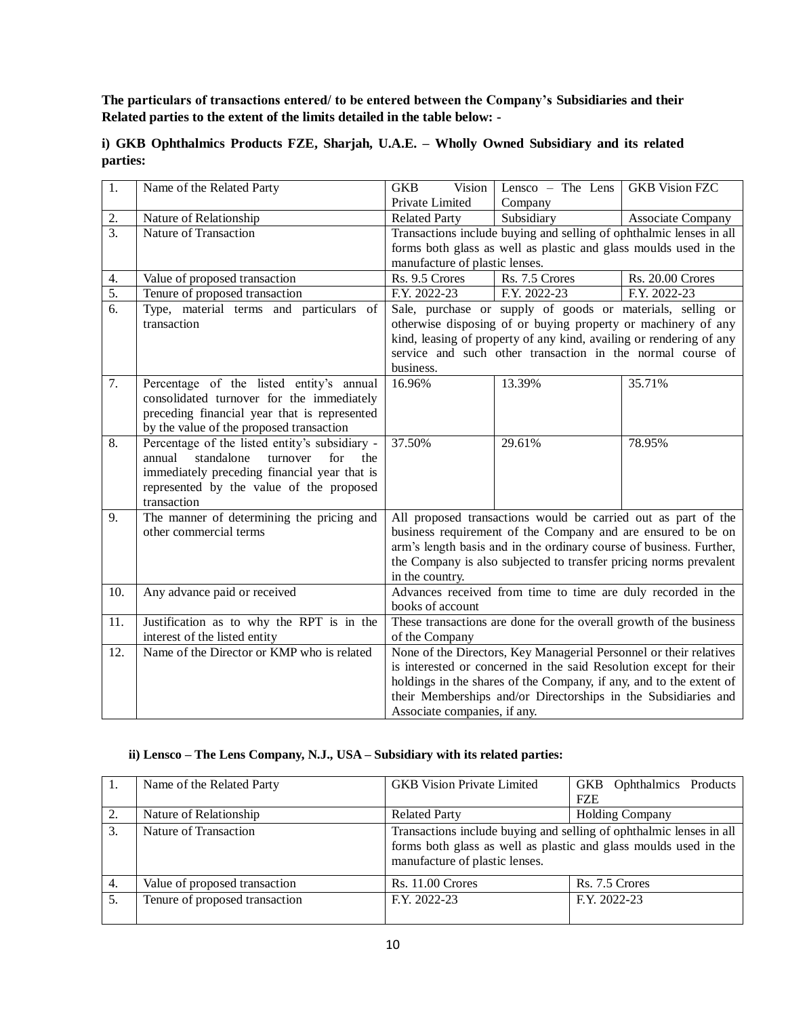**The particulars of transactions entered/ to be entered between the Company's Subsidiaries and their Related parties to the extent of the limits detailed in the table below: -**

| 1.               | Name of the Related Party                                                                        | <b>GKB</b><br>Vision                                                | Lensco $-$ The Lens   GKB Vision FZC                                |                          |  |
|------------------|--------------------------------------------------------------------------------------------------|---------------------------------------------------------------------|---------------------------------------------------------------------|--------------------------|--|
|                  |                                                                                                  | Private Limited                                                     | Company                                                             |                          |  |
| 2.               | Nature of Relationship                                                                           | <b>Related Party</b>                                                | Subsidiary                                                          | <b>Associate Company</b> |  |
| $\overline{3}$ . | Nature of Transaction                                                                            |                                                                     | Transactions include buying and selling of ophthalmic lenses in all |                          |  |
|                  |                                                                                                  |                                                                     | forms both glass as well as plastic and glass moulds used in the    |                          |  |
|                  |                                                                                                  | manufacture of plastic lenses.                                      |                                                                     |                          |  |
| 4.               | Value of proposed transaction                                                                    | Rs. 9.5 Crores                                                      | Rs. 7.5 Crores                                                      | <b>Rs. 20.00 Crores</b>  |  |
| $\overline{5}$ . | Tenure of proposed transaction                                                                   | F.Y. 2022-23                                                        | F.Y. 2022-23                                                        | F.Y. 2022-23             |  |
| 6.               | Type, material terms and particulars of                                                          |                                                                     | Sale, purchase or supply of goods or materials, selling or          |                          |  |
|                  | transaction                                                                                      |                                                                     | otherwise disposing of or buying property or machinery of any       |                          |  |
|                  |                                                                                                  |                                                                     | kind, leasing of property of any kind, availing or rendering of any |                          |  |
|                  |                                                                                                  |                                                                     | service and such other transaction in the normal course of          |                          |  |
|                  |                                                                                                  | business.                                                           |                                                                     |                          |  |
| 7.               | Percentage of the listed entity's annual                                                         | 16.96%                                                              | 13.39%                                                              | 35.71%                   |  |
|                  | consolidated turnover for the immediately                                                        |                                                                     |                                                                     |                          |  |
|                  | preceding financial year that is represented                                                     |                                                                     |                                                                     |                          |  |
|                  | by the value of the proposed transaction                                                         |                                                                     |                                                                     |                          |  |
| 8.               | Percentage of the listed entity's subsidiary -<br>standalone<br>annual<br>turnover<br>for<br>the | 37.50%                                                              | 29.61%                                                              | 78.95%                   |  |
|                  | immediately preceding financial year that is                                                     |                                                                     |                                                                     |                          |  |
|                  | represented by the value of the proposed                                                         |                                                                     |                                                                     |                          |  |
|                  | transaction                                                                                      |                                                                     |                                                                     |                          |  |
| 9.               | The manner of determining the pricing and                                                        |                                                                     | All proposed transactions would be carried out as part of the       |                          |  |
|                  | other commercial terms                                                                           |                                                                     | business requirement of the Company and are ensured to be on        |                          |  |
|                  |                                                                                                  |                                                                     | arm's length basis and in the ordinary course of business. Further, |                          |  |
|                  |                                                                                                  |                                                                     | the Company is also subjected to transfer pricing norms prevalent   |                          |  |
|                  |                                                                                                  | in the country.                                                     |                                                                     |                          |  |
| 10.              | Any advance paid or received                                                                     |                                                                     | Advances received from time to time are duly recorded in the        |                          |  |
|                  |                                                                                                  | books of account                                                    |                                                                     |                          |  |
| 11.              | Justification as to why the RPT is in the                                                        | These transactions are done for the overall growth of the business  |                                                                     |                          |  |
|                  | interest of the listed entity                                                                    | of the Company                                                      |                                                                     |                          |  |
| 12.              | Name of the Director or KMP who is related                                                       | None of the Directors, Key Managerial Personnel or their relatives  |                                                                     |                          |  |
|                  |                                                                                                  | is interested or concerned in the said Resolution except for their  |                                                                     |                          |  |
|                  |                                                                                                  | holdings in the shares of the Company, if any, and to the extent of |                                                                     |                          |  |
|                  |                                                                                                  | their Memberships and/or Directorships in the Subsidiaries and      |                                                                     |                          |  |
|                  |                                                                                                  | Associate companies, if any.                                        |                                                                     |                          |  |

### **i) GKB Ophthalmics Products FZE, Sharjah, U.A.E. – Wholly Owned Subsidiary and its related parties:**

# **ii) Lensco – The Lens Company, N.J., USA – Subsidiary with its related parties:**

|    | Name of the Related Party      | <b>GKB</b> Vision Private Limited                                                                                                                                         | GKB Ophthalmics Products<br><b>FZE</b> |
|----|--------------------------------|---------------------------------------------------------------------------------------------------------------------------------------------------------------------------|----------------------------------------|
|    | Nature of Relationship         | <b>Related Party</b>                                                                                                                                                      | <b>Holding Company</b>                 |
| 3. | Nature of Transaction          | Transactions include buying and selling of ophthalmic lenses in all<br>forms both glass as well as plastic and glass moulds used in the<br>manufacture of plastic lenses. |                                        |
| 4. | Value of proposed transaction  | $Rs. 11.00$ Crores<br>Rs. 7.5 Crores                                                                                                                                      |                                        |
| 5. | Tenure of proposed transaction | F.Y. 2022-23                                                                                                                                                              | F.Y. 2022-23                           |